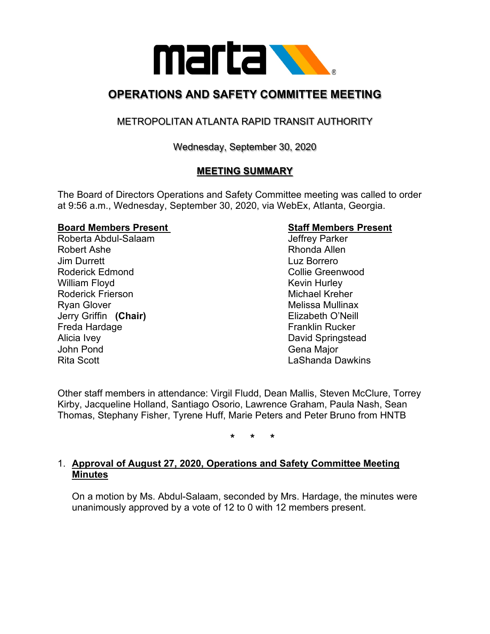

## **OPERATIONS AND SAFETY COMMITTEE MEETING**

### METROPOLITAN ATLANTA RAPID TRANSIT AUTHORITY

Wednesday, September 30, 2020

#### **MEETING SUMMARY**

The Board of Directors Operations and Safety Committee meeting was called to order at 9:56 a.m., Wednesday, September 30, 2020, via WebEx, Atlanta, Georgia.

# **Board Members Present Staff Members Present**

Roberta Abdul-Salaam Robert Ashe **Rhonda** Allen Jim Durrett Luz Borrero Roderick Edmond **Collie Greenwood Collie Greenwood** William Floyd **Kevin Hurley** Kevin Hurley Roderick Frierson **Michael Kreher** Michael Kreher Ryan Glover **Melissa Mullinax** Melissa Mullinax Jerry Griffin **(Chair)** Elizabeth O'Neill Freda Hardage Alicia Ivey **David Springstead** John Pond Gena Major Rita Scott **Lashanda Dawkins** 

Other staff members in attendance: Virgil Fludd, Dean Mallis, Steven McClure, Torrey Kirby, Jacqueline Holland, Santiago Osorio, Lawrence Graham, Paula Nash, Sean Thomas, Stephany Fisher, Tyrene Huff, Marie Peters and Peter Bruno from HNTB

**\* \* \***

#### 1. **Approval of August 27, 2020, Operations and Safety Committee Meeting Minutes**

On a motion by Ms. Abdul-Salaam, seconded by Mrs. Hardage, the minutes were unanimously approved by a vote of 12 to 0 with 12 members present.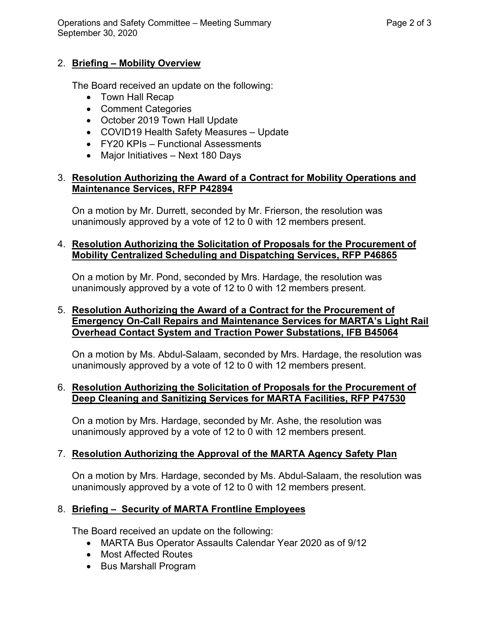Operations and Safety Committee – Meeting Summary Page 2 of 3 September 30, 2020

#### 2. **Briefing – Mobility Overview**

The Board received an update on the following:

- Town Hall Recap
- Comment Categories
- October 2019 Town Hall Update
- COVID19 Health Safety Measures Update
- FY20 KPIs Functional Assessments
- Major Initiatives Next 180 Days

#### 3. **Resolution Authorizing the Award of a Contract for Mobility Operations and Maintenance Services, RFP P42894**

On a motion by Mr. Durrett, seconded by Mr. Frierson, the resolution was unanimously approved by a vote of 12 to 0 with 12 members present.

#### 4. **Resolution Authorizing the Solicitation of Proposals for the Procurement of Mobility Centralized Scheduling and Dispatching Services, RFP P46865**

On a motion by Mr. Pond, seconded by Mrs. Hardage, the resolution was unanimously approved by a vote of 12 to 0 with 12 members present.

#### 5. **Resolution Authorizing the Award of a Contract for the Procurement of Emergency On-Call Repairs and Maintenance Services for MARTA's Light Rail Overhead Contact System and Traction Power Substations, IFB B45064**

On a motion by Ms. Abdul-Salaam, seconded by Mrs. Hardage, the resolution was unanimously approved by a vote of 12 to 0 with 12 members present.

#### 6. **Resolution Authorizing the Solicitation of Proposals for the Procurement of Deep Cleaning and Sanitizing Services for MARTA Facilities, RFP P47530**

On a motion by Mrs. Hardage, seconded by Mr. Ashe, the resolution was unanimously approved by a vote of 12 to 0 with 12 members present.

#### 7. **Resolution Authorizing the Approval of the MARTA Agency Safety Plan**

On a motion by Mrs. Hardage, seconded by Ms. Abdul-Salaam, the resolution was unanimously approved by a vote of 12 to 0 with 12 members present.

#### 8. **Briefing – Security of MARTA Frontline Employees**

The Board received an update on the following:

- MARTA Bus Operator Assaults Calendar Year 2020 as of 9/12
- Most Affected Routes
- Bus Marshall Program